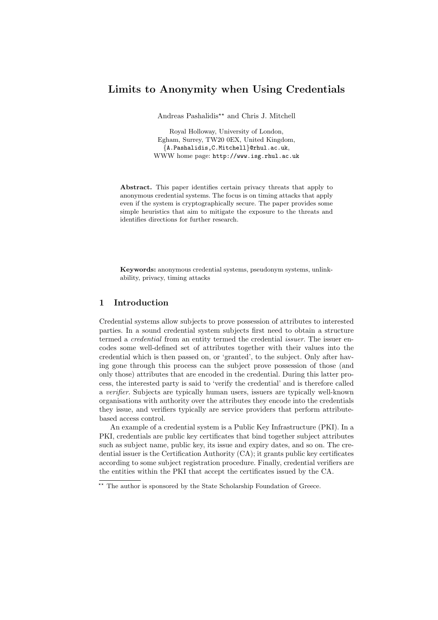# Limits to Anonymity when Using Credentials

Andreas Pashalidis?? and Chris J. Mitchell

Royal Holloway, University of London, Egham, Surrey, TW20 0EX, United Kingdom, {A.Pashalidis,C.Mitchell}@rhul.ac.uk, WWW home page: http://www.isg.rhul.ac.uk

Abstract. This paper identifies certain privacy threats that apply to anonymous credential systems. The focus is on timing attacks that apply even if the system is cryptographically secure. The paper provides some simple heuristics that aim to mitigate the exposure to the threats and identifies directions for further research.

Keywords: anonymous credential systems, pseudonym systems, unlinkability, privacy, timing attacks

## 1 Introduction

Credential systems allow subjects to prove possession of attributes to interested parties. In a sound credential system subjects first need to obtain a structure termed a *credential* from an entity termed the credential *issuer*. The issuer encodes some well-defined set of attributes together with their values into the credential which is then passed on, or 'granted', to the subject. Only after having gone through this process can the subject prove possession of those (and only those) attributes that are encoded in the credential. During this latter process, the interested party is said to 'verify the credential' and is therefore called a verifier. Subjects are typically human users, issuers are typically well-known organisations with authority over the attributes they encode into the credentials they issue, and verifiers typically are service providers that perform attributebased access control.

An example of a credential system is a Public Key Infrastructure (PKI). In a PKI, credentials are public key certificates that bind together subject attributes such as subject name, public key, its issue and expiry dates, and so on. The credential issuer is the Certification Authority (CA); it grants public key certificates according to some subject registration procedure. Finally, credential verifiers are the entities within the PKI that accept the certificates issued by the CA.

<sup>\*\*</sup> The author is sponsored by the State Scholarship Foundation of Greece.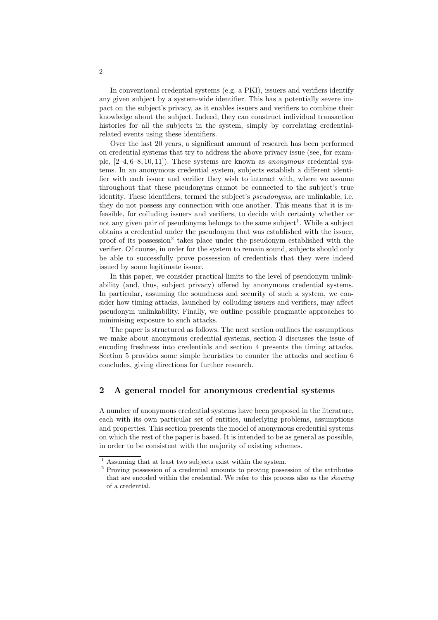In conventional credential systems (e.g. a PKI), issuers and verifiers identify any given subject by a system-wide identifier. This has a potentially severe impact on the subject's privacy, as it enables issuers and verifiers to combine their knowledge about the subject. Indeed, they can construct individual transaction histories for all the subjects in the system, simply by correlating credentialrelated events using these identifiers.

Over the last 20 years, a significant amount of research has been performed on credential systems that try to address the above privacy issue (see, for example,  $[2-4, 6-8, 10, 11]$ . These systems are known as *anonymous* credential systems. In an anonymous credential system, subjects establish a different identifier with each issuer and verifier they wish to interact with, where we assume throughout that these pseudonyms cannot be connected to the subject's true identity. These identifiers, termed the subject's *pseudonyms*, are unlinkable, i.e. they do not possess any connection with one another. This means that it is infeasible, for colluding issuers and verifiers, to decide with certainty whether or not any given pair of pseudonyms belongs to the same subject<sup>1</sup>. While a subject obtains a credential under the pseudonym that was established with the issuer, proof of its possession<sup>2</sup> takes place under the pseudonym established with the verifier. Of course, in order for the system to remain sound, subjects should only be able to successfully prove possession of credentials that they were indeed issued by some legitimate issuer.

In this paper, we consider practical limits to the level of pseudonym unlinkability (and, thus, subject privacy) offered by anonymous credential systems. In particular, assuming the soundness and security of such a system, we consider how timing attacks, launched by colluding issuers and verifiers, may affect pseudonym unlinkability. Finally, we outline possible pragmatic approaches to minimising exposure to such attacks.

The paper is structured as follows. The next section outlines the assumptions we make about anonymous credential systems, section 3 discusses the issue of encoding freshness into credentials and section 4 presents the timing attacks. Section 5 provides some simple heuristics to counter the attacks and section 6 concludes, giving directions for further research.

## 2 A general model for anonymous credential systems

A number of anonymous credential systems have been proposed in the literature, each with its own particular set of entities, underlying problems, assumptions and properties. This section presents the model of anonymous credential systems on which the rest of the paper is based. It is intended to be as general as possible, in order to be consistent with the majority of existing schemes.

 $^{\rm 1}$  Assuming that at least two subjects exist within the system.

<sup>2</sup> Proving possession of a credential amounts to proving possession of the attributes that are encoded within the credential. We refer to this process also as the showing of a credential.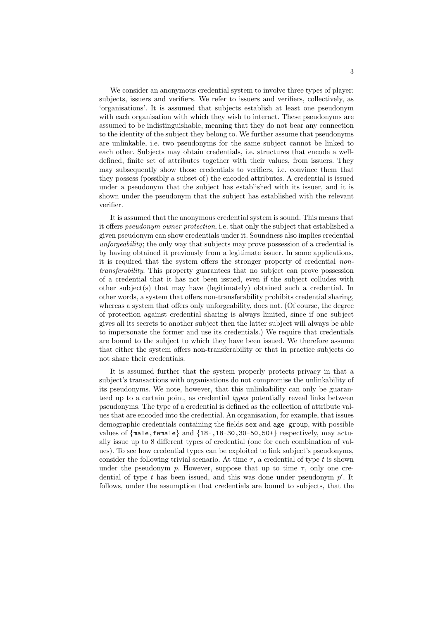We consider an anonymous credential system to involve three types of player: subjects, issuers and verifiers. We refer to issuers and verifiers, collectively, as 'organisations'. It is assumed that subjects establish at least one pseudonym with each organisation with which they wish to interact. These pseudonyms are assumed to be indistinguishable, meaning that they do not bear any connection to the identity of the subject they belong to. We further assume that pseudonyms are unlinkable, i.e. two pseudonyms for the same subject cannot be linked to each other. Subjects may obtain credentials, i.e. structures that encode a welldefined, finite set of attributes together with their values, from issuers. They may subsequently show those credentials to verifiers, i.e. convince them that they possess (possibly a subset of) the encoded attributes. A credential is issued under a pseudonym that the subject has established with its issuer, and it is shown under the pseudonym that the subject has established with the relevant verifier.

It is assumed that the anonymous credential system is sound. This means that it offers pseudonym owner protection, i.e. that only the subject that established a given pseudonym can show credentials under it. Soundness also implies credential unforgeability; the only way that subjects may prove possession of a credential is by having obtained it previously from a legitimate issuer. In some applications, it is required that the system offers the stronger property of credential nontransferability. This property guarantees that no subject can prove possession of a credential that it has not been issued, even if the subject colludes with other subject(s) that may have (legitimately) obtained such a credential. In other words, a system that offers non-transferability prohibits credential sharing, whereas a system that offers only unforgeability, does not. (Of course, the degree of protection against credential sharing is always limited, since if one subject gives all its secrets to another subject then the latter subject will always be able to impersonate the former and use its credentials.) We require that credentials are bound to the subject to which they have been issued. We therefore assume that either the system offers non-transferability or that in practice subjects do not share their credentials.

It is assumed further that the system properly protects privacy in that a subject's transactions with organisations do not compromise the unlinkability of its pseudonyms. We note, however, that this unlinkability can only be guaranteed up to a certain point, as credential types potentially reveal links between pseudonyms. The type of a credential is defined as the collection of attribute values that are encoded into the credential. An organisation, for example, that issues demographic credentials containing the fields sex and age group, with possible values of  ${male, female}$  and  ${18-, 18-30, 30-50, 50+}$  respectively, may actually issue up to 8 different types of credential (one for each combination of values). To see how credential types can be exploited to link subject's pseudonyms, consider the following trivial scenario. At time  $\tau$ , a credential of type t is shown under the pseudonym p. However, suppose that up to time  $\tau$ , only one credential of type t has been issued, and this was done under pseudonym  $p'$ . It follows, under the assumption that credentials are bound to subjects, that the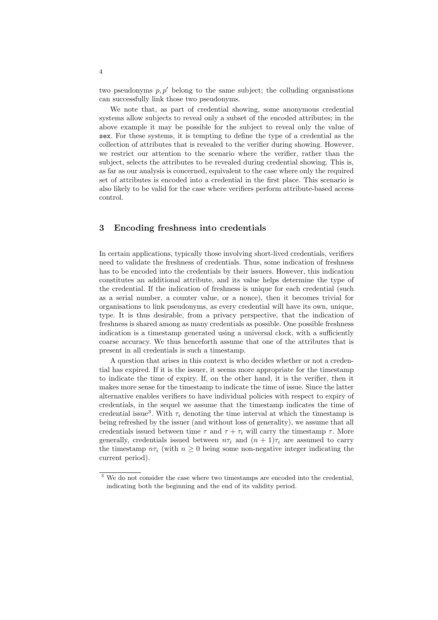two pseudonyms  $p, p'$  belong to the same subject; the colluding organisations can successfully link those two pseudonyms.

We note that, as part of credential showing, some anonymous credential systems allow subjects to reveal only a subset of the encoded attributes; in the above example it may be possible for the subject to reveal only the value of sex. For these systems, it is tempting to define the type of a credential as the collection of attributes that is revealed to the verifier during showing. However, we restrict our attention to the scenario where the verifier, rather than the subject, selects the attributes to be revealed during credential showing. This is, as far as our analysis is concerned, equivalent to the case where only the required set of attributes is encoded into a credential in the first place. This scenario is also likely to be valid for the case where verifiers perform attribute-based access control.

## 3 Encoding freshness into credentials

In certain applications, typically those involving short-lived credentials, verifiers need to validate the freshness of credentials. Thus, some indication of freshness has to be encoded into the credentials by their issuers. However, this indication constitutes an additional attribute, and its value helps determine the type of the credential. If the indication of freshness is unique for each credential (such as a serial number, a counter value, or a nonce), then it becomes trivial for organisations to link pseudonyms, as every credential will have its own, unique, type. It is thus desirable, from a privacy perspective, that the indication of freshness is shared among as many credentials as possible. One possible freshness indication is a timestamp generated using a universal clock, with a sufficiently coarse accuracy. We thus henceforth assume that one of the attributes that is present in all credentials is such a timestamp.

A question that arises in this context is who decides whether or not a credential has expired. If it is the issuer, it seems more appropriate for the timestamp to indicate the time of expiry. If, on the other hand, it is the verifier, then it makes more sense for the timestamp to indicate the time of issue. Since the latter alternative enables verifiers to have individual policies with respect to expiry of credentials, in the sequel we assume that the timestamp indicates the time of credential issue<sup>3</sup>. With  $\tau_i$  denoting the time interval at which the timestamp is being refreshed by the issuer (and without loss of generality), we assume that all credentials issued between time  $\tau$  and  $\tau + \tau_i$  will carry the timestamp  $\tau$ . More generally, credentials issued between  $n\tau_i$  and  $(n + 1)\tau_i$  are assumed to carry the timestamp  $n\tau_i$  (with  $n \geq 0$  being some non-negative integer indicating the current period).

<sup>&</sup>lt;sup>3</sup> We do not consider the case where two timestamps are encoded into the credential, indicating both the beginning and the end of its validity period.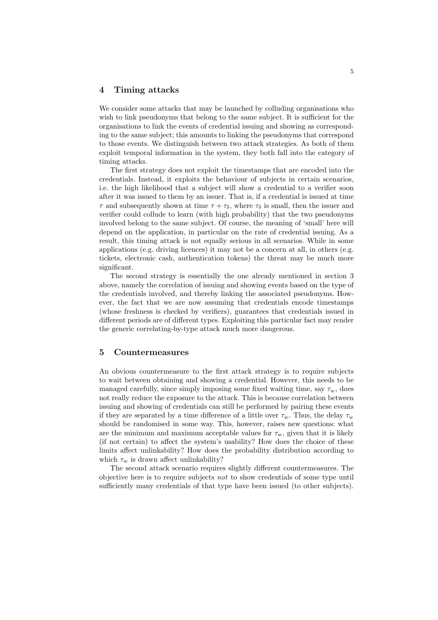### 4 Timing attacks

We consider some attacks that may be launched by colluding organisations who wish to link pseudonyms that belong to the same subject. It is sufficient for the organisations to link the events of credential issuing and showing as corresponding to the same subject; this amounts to linking the pseudonyms that correspond to those events. We distinguish between two attack strategies. As both of them exploit temporal information in the system, they both fall into the category of timing attacks.

The first strategy does not exploit the timestamps that are encoded into the credentials. Instead, it exploits the behaviour of subjects in certain scenarios, i.e. the high likelihood that a subject will show a credential to a verifier soon after it was issued to them by an issuer. That is, if a credential is issued at time  $\tau$  and subsequently shown at time  $\tau + \tau_{\delta}$ , where  $\tau_{\delta}$  is small, then the issuer and verifier could collude to learn (with high probability) that the two pseudonyms involved belong to the same subject. Of course, the meaning of 'small' here will depend on the application, in particular on the rate of credential issuing. As a result, this timing attack is not equally serious in all scenarios. While in some applications (e.g. driving licences) it may not be a concern at all, in others (e.g. tickets, electronic cash, authentication tokens) the threat may be much more significant.

The second strategy is essentially the one already mentioned in section 3 above, namely the correlation of issuing and showing events based on the type of the credentials involved, and thereby linking the associated pseudonyms. However, the fact that we are now assuming that credentials encode timestamps (whose freshness is checked by verifiers), guarantees that credentials issued in different periods are of different types. Exploiting this particular fact may render the generic correlating-by-type attack much more dangerous.

#### 5 Countermeasures

An obvious countermeasure to the first attack strategy is to require subjects to wait between obtaining and showing a credential. However, this needs to be managed carefully, since simply imposing some fixed waiting time, say  $\tau_w$ , does not really reduce the exposure to the attack. This is because correlation between issuing and showing of credentials can still be performed by pairing these events if they are separated by a time difference of a little over  $\tau_w$ . Thus, the delay  $\tau_w$ should be randomised in some way. This, however, raises new questions: what are the minimum and maximum acceptable values for  $\tau_w$ , given that it is likely (if not certain) to affect the system's usability? How does the choice of these limits affect unlinkability? How does the probability distribution according to which  $\tau_w$  is drawn affect unlinkability?

The second attack scenario requires slightly different countermeasures. The objective here is to require subjects not to show credentials of some type until sufficiently many credentials of that type have been issued (to other subjects).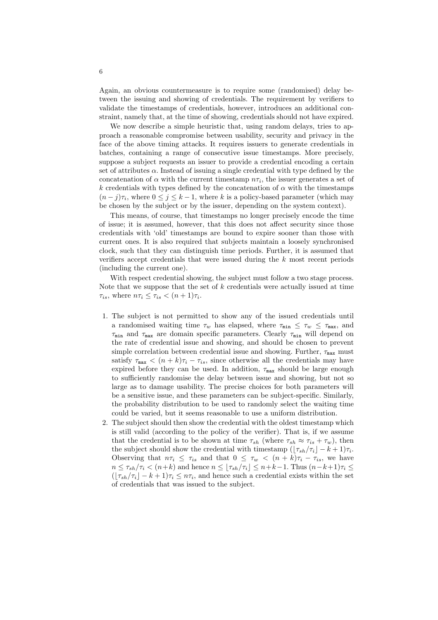Again, an obvious countermeasure is to require some (randomised) delay between the issuing and showing of credentials. The requirement by verifiers to validate the timestamps of credentials, however, introduces an additional constraint, namely that, at the time of showing, credentials should not have expired.

We now describe a simple heuristic that, using random delays, tries to approach a reasonable compromise between usability, security and privacy in the face of the above timing attacks. It requires issuers to generate credentials in batches, containing a range of consecutive issue timestamps. More precisely, suppose a subject requests an issuer to provide a credential encoding a certain set of attributes  $\alpha$ . Instead of issuing a single credential with type defined by the concatenation of  $\alpha$  with the current timestamp  $n\tau_i$ , the issuer generates a set of k credentials with types defined by the concatenation of  $\alpha$  with the timestamps  $(n-j)\tau_i$ , where  $0 \leq j \leq k-1$ , where k is a policy-based parameter (which may be chosen by the subject or by the issuer, depending on the system context).

This means, of course, that timestamps no longer precisely encode the time of issue; it is assumed, however, that this does not affect security since those credentials with 'old' timestamps are bound to expire sooner than those with current ones. It is also required that subjects maintain a loosely synchronised clock, such that they can distinguish time periods. Further, it is assumed that verifiers accept credentials that were issued during the k most recent periods (including the current one).

With respect credential showing, the subject must follow a two stage process. Note that we suppose that the set of  $k$  credentials were actually issued at time  $\tau_{is}$ , where  $n\tau_i \leq \tau_{is} < (n+1)\tau_i$ .

- 1. The subject is not permitted to show any of the issued credentials until a randomised waiting time  $\tau_w$  has elapsed, where  $\tau_{\min} \leq \tau_w \leq \tau_{\max}$ , and  $\tau_{\min}$  and  $\tau_{\max}$  are domain specific parameters. Clearly  $\tau_{\min}$  will depend on the rate of credential issue and showing, and should be chosen to prevent simple correlation between credential issue and showing. Further,  $\tau_{\text{max}}$  must satisfy  $\tau_{\text{max}} < (n + k)\tau_i - \tau_{is}$ , since otherwise all the credentials may have expired before they can be used. In addition,  $\tau_{\text{max}}$  should be large enough to sufficiently randomise the delay between issue and showing, but not so large as to damage usability. The precise choices for both parameters will be a sensitive issue, and these parameters can be subject-specific. Similarly, the probability distribution to be used to randomly select the waiting time could be varied, but it seems reasonable to use a uniform distribution.
- 2. The subject should then show the credential with the oldest timestamp which is still valid (according to the policy of the verifier). That is, if we assume that the credential is to be shown at time  $\tau_{sh}$  (where  $\tau_{sh} \approx \tau_{is} + \tau_w$ ), then the subject should show the credential with timestamp  $(\lfloor \tau_{sh}/\tau_i \rfloor - k + 1)\tau_i$ . Observing that  $n\tau_i \leq \tau_{is}$  and that  $0 \leq \tau_w < (n+k)\tau_i - \tau_{is}$ , we have  $n \leq \tau_{sh}/\tau_i < (n+k)$  and hence  $n \leq \lfloor \tau_{sh}/\tau_i \rfloor \leq n+k-1$ . Thus  $(n-k+1)\tau_i \leq$  $(\lfloor \tau_{sh}/\tau_i \rfloor - k + 1)\tau_i \leq n\tau_i$ , and hence such a credential exists within the set of credentials that was issued to the subject.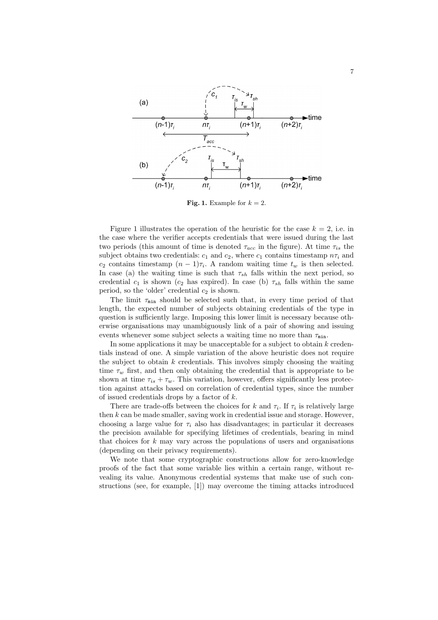

Fig. 1. Example for  $k = 2$ .

Figure 1 illustrates the operation of the heuristic for the case  $k = 2$ , i.e. in the case where the verifier accepts credentials that were issued during the last two periods (this amount of time is denoted  $\tau_{acc}$  in the figure). At time  $\tau_{is}$  the subject obtains two credentials:  $c_1$  and  $c_2$ , where  $c_1$  contains timestamp  $n\tau_i$  and  $c_2$  contains timestamp  $(n-1)\tau_i$ . A random waiting time  $t_w$  is then selected. In case (a) the waiting time is such that  $\tau_{sh}$  falls within the next period, so credential  $c_1$  is shown ( $c_2$  has expired). In case (b)  $\tau_{sh}$  falls within the same period, so the 'older' credential  $c_2$  is shown.

The limit  $\tau_{\min}$  should be selected such that, in every time period of that length, the expected number of subjects obtaining credentials of the type in question is sufficiently large. Imposing this lower limit is necessary because otherwise organisations may unambiguously link of a pair of showing and issuing events whenever some subject selects a waiting time no more than  $\tau_{\min}$ .

In some applications it may be unacceptable for a subject to obtain  $k$  credentials instead of one. A simple variation of the above heuristic does not require the subject to obtain  $k$  credentials. This involves simply choosing the waiting time  $\tau_w$  first, and then only obtaining the credential that is appropriate to be shown at time  $\tau_{is} + \tau_w$ . This variation, however, offers significantly less protection against attacks based on correlation of credential types, since the number of issued credentials drops by a factor of  $k$ .

There are trade-offs between the choices for k and  $\tau_i$ . If  $\tau_i$  is relatively large then  $k$  can be made smaller, saving work in credential issue and storage. However, choosing a large value for  $\tau_i$  also has disadvantages; in particular it decreases the precision available for specifying lifetimes of credentials, bearing in mind that choices for  $k$  may vary across the populations of users and organisations (depending on their privacy requirements).

We note that some cryptographic constructions allow for zero-knowledge proofs of the fact that some variable lies within a certain range, without revealing its value. Anonymous credential systems that make use of such constructions (see, for example, [1]) may overcome the timing attacks introduced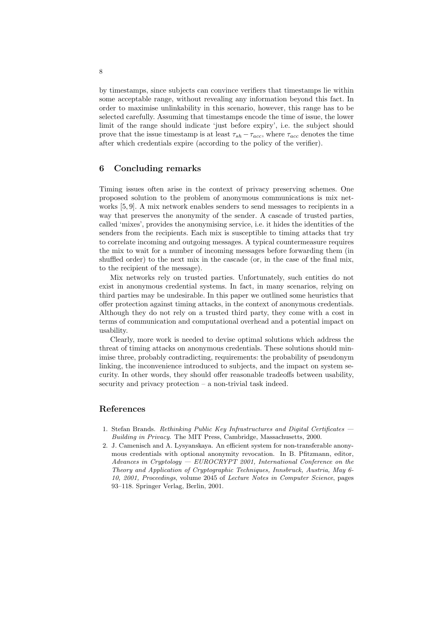by timestamps, since subjects can convince verifiers that timestamps lie within some acceptable range, without revealing any information beyond this fact. In order to maximise unlinkability in this scenario, however, this range has to be selected carefully. Assuming that timestamps encode the time of issue, the lower limit of the range should indicate 'just before expiry', i.e. the subject should prove that the issue timestamp is at least  $\tau_{sh} - \tau_{acc}$ , where  $\tau_{acc}$  denotes the time after which credentials expire (according to the policy of the verifier).

## 6 Concluding remarks

Timing issues often arise in the context of privacy preserving schemes. One proposed solution to the problem of anonymous communications is mix networks [5, 9]. A mix network enables senders to send messages to recipients in a way that preserves the anonymity of the sender. A cascade of trusted parties, called 'mixes', provides the anonymising service, i.e. it hides the identities of the senders from the recipients. Each mix is susceptible to timing attacks that try to correlate incoming and outgoing messages. A typical countermeasure requires the mix to wait for a number of incoming messages before forwarding them (in shuffled order) to the next mix in the cascade (or, in the case of the final mix, to the recipient of the message).

Mix networks rely on trusted parties. Unfortunately, such entities do not exist in anonymous credential systems. In fact, in many scenarios, relying on third parties may be undesirable. In this paper we outlined some heuristics that offer protection against timing attacks, in the context of anonymous credentials. Although they do not rely on a trusted third party, they come with a cost in terms of communication and computational overhead and a potential impact on usability.

Clearly, more work is needed to devise optimal solutions which address the threat of timing attacks on anonymous credentials. These solutions should minimise three, probably contradicting, requirements: the probability of pseudonym linking, the inconvenience introduced to subjects, and the impact on system security. In other words, they should offer reasonable tradeoffs between usability, security and privacy protection – a non-trivial task indeed.

#### References

- 1. Stefan Brands. Rethinking Public Key Infrastructures and Digital Certificates Building in Privacy. The MIT Press, Cambridge, Massachusetts, 2000.
- 2. J. Camenisch and A. Lysyanskaya. An efficient system for non-transferable anonymous credentials with optional anonymity revocation. In B. Pfitzmann, editor, Advances in Cryptology — EUROCRYPT 2001, International Conference on the Theory and Application of Cryptographic Techniques, Innsbruck, Austria, May 6- 10, 2001, Proceedings, volume 2045 of Lecture Notes in Computer Science, pages 93–118. Springer Verlag, Berlin, 2001.